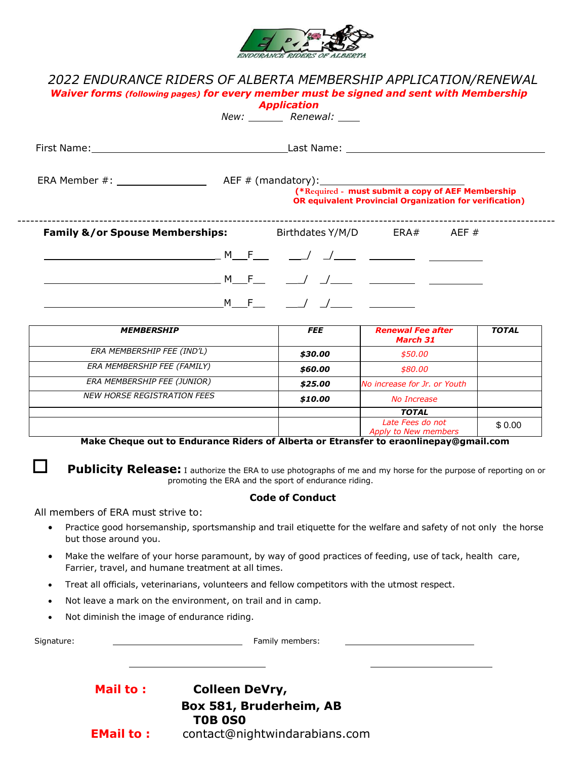

# *2022 ENDURANCE RIDERS OF ALBERTA MEMBERSHIP APPLICATION/RENEWAL Waiver forms (following pages) for every member must be signed and sent with Membership Application*

|                                                                        |  | New: Renewal: |                                                                                                                     |  |
|------------------------------------------------------------------------|--|---------------|---------------------------------------------------------------------------------------------------------------------|--|
|                                                                        |  |               |                                                                                                                     |  |
|                                                                        |  |               | (*Required - must submit a copy of AEF Membership<br><b>OR equivalent Provincial Organization for verification)</b> |  |
| <b>Family &amp;/or Spouse Memberships:</b> Birthdates Y/M/D ERA# AEF # |  |               |                                                                                                                     |  |
|                                                                        |  |               |                                                                                                                     |  |
|                                                                        |  |               |                                                                                                                     |  |
|                                                                        |  |               |                                                                                                                     |  |

| <b>MEMBERSHIP</b>                  | <b>FEE</b> | <b>Renewal Fee after</b><br>March 31            | <b>TOTAL</b> |
|------------------------------------|------------|-------------------------------------------------|--------------|
| ERA MEMBERSHIP FEE (IND'L)         | \$30.00    | \$50.00                                         |              |
| ERA MEMBERSHIP FEE (FAMILY)        | \$60.00    | \$80.00                                         |              |
| ERA MEMBERSHIP FEE (JUNIOR)        | \$25.00    | No increase for Jr. or Youth                    |              |
| <b>NEW HORSE REGISTRATION FEES</b> | \$10.00    | No Increase                                     |              |
|                                    |            | <b>TOTAL</b>                                    |              |
|                                    |            | Late Fees do not<br><b>Apply to New members</b> | \$0.00       |

**Make Cheque out to Endurance Riders of Alberta or Etransfer to eraonlinepay@gmail.com**

**Publicity Release:** I authorize the ERA to use photographs of me and my horse for the purpose of reporting on or promoting the ERA and the sport of endurance riding.

## **Code of Conduct**

All members of ERA must strive to:

- Practice good horsemanship, sportsmanship and trail etiquette for the welfare and safety of not only the horse but those around you.
- Make the welfare of your horse paramount, by way of good practices of feeding, use of tack, health care, Farrier, travel, and humane treatment at all times.
- Treat all officials, veterinarians, volunteers and fellow competitors with the utmost respect.
- Not leave a mark on the environment, on trail and in camp.
- Not diminish the image of endurance riding.

| Signature: |                  | Family members:                           |  |
|------------|------------------|-------------------------------------------|--|
|            |                  |                                           |  |
|            | <b>Mail to:</b>  | <b>Colleen DeVry,</b>                     |  |
|            |                  | Box 581, Bruderheim, AB<br><b>TOB 0S0</b> |  |
|            | <b>EMail to:</b> | contact@nightwindarabians.com             |  |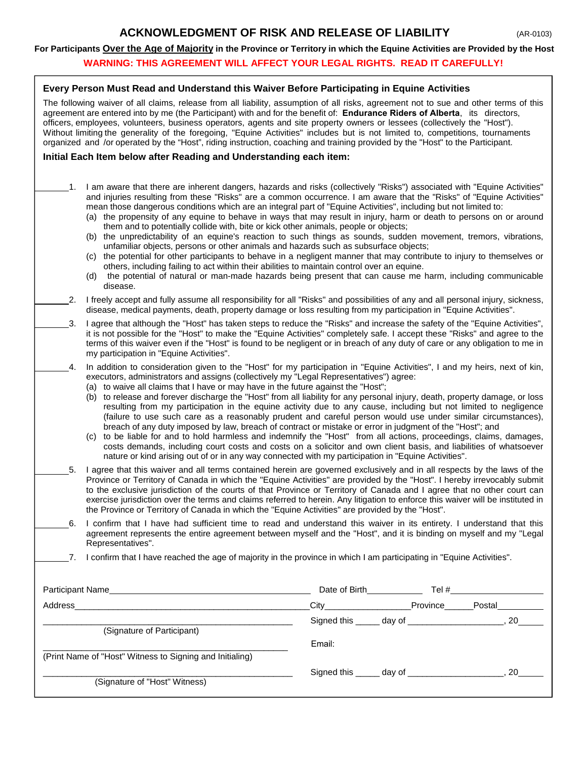# **ACKNOWLEDGMENT OF RISK AND RELEASE OF LIABILITY** (AR-0103)

#### **For Participants Over the Age of Majority in the Province or Territory in which the Equine Activities are Provided by the Host**

## **WARNING: THIS AGREEMENT WILL AFFECT YOUR LEGAL RIGHTS. READ IT CAREFULLY!**

### **Every Person Must Read and Understand this Waiver Before Participating in Equine Activities**

The following waiver of all claims, release from all liability, assumption of all risks, agreement not to sue and other terms of this agreement are entered into by me (the Participant) with and for the benefit of: **Endurance Riders of Alberta**, its directors, officers, employees, volunteers, business operators, agents and site property owners or lessees (collectively the "Host"). Without limiting the generality of the foregoing, "Equine Activities" includes but is not limited to, competitions, tournaments organized and /or operated by the "Host", riding instruction, coaching and training provided by the "Host" to the Participant.

#### **Initial Each Item below after Reading and Understanding each item:**

- 1. I am aware that there are inherent dangers, hazards and risks (collectively "Risks") associated with "Equine Activities" and injuries resulting from these "Risks" are a common occurrence. I am aware that the "Risks" of "Equine Activities" mean those dangerous conditions which are an integral part of "Equine Activities", including but not limited to:
	- (a) the propensity of any equine to behave in ways that may result in injury, harm or death to persons on or around them and to potentially collide with, bite or kick other animals, people or objects;
	- (b) the unpredictability of an equine's reaction to such things as sounds, sudden movement, tremors, vibrations, unfamiliar objects, persons or other animals and hazards such as subsurface objects;
	- (c) the potential for other participants to behave in a negligent manner that may contribute to injury to themselves or others, including failing to act within their abilities to maintain control over an equine.
	- (d) the potential of natural or man-made hazards being present that can cause me harm, including communicable disease.
- 2. I freely accept and fully assume all responsibility for all "Risks" and possibilities of any and all personal injury, sickness, disease, medical payments, death, property damage or loss resulting from my participation in "Equine Activities".
- 3. I agree that although the "Host" has taken steps to reduce the "Risks" and increase the safety of the "Equine Activities", it is not possible for the "Host" to make the "Equine Activities" completely safe. I accept these "Risks" and agree to the terms of this waiver even if the "Host" is found to be negligent or in breach of any duty of care or any obligation to me in my participation in "Equine Activities".
- 4. In addition to consideration given to the "Host" for my participation in "Equine Activities", I and my heirs, next of kin, executors, administrators and assigns (collectively my "Legal Representatives") agree:
	- (a) to waive all claims that I have or may have in the future against the "Host";
	- (b) to release and forever discharge the "Host" from all liability for any personal injury, death, property damage, or loss resulting from my participation in the equine activity due to any cause, including but not limited to negligence (failure to use such care as a reasonably prudent and careful person would use under similar circumstances), breach of any duty imposed by law, breach of contract or mistake or error in judgment of the "Host"; and
	- (c) to be liable for and to hold harmless and indemnify the "Host" from all actions, proceedings, claims, damages, costs demands, including court costs and costs on a solicitor and own client basis, and liabilities of whatsoever nature or kind arising out of or in any way connected with my participation in "Equine Activities".
- 5. I agree that this waiver and all terms contained herein are governed exclusively and in all respects by the laws of the Province or Territory of Canada in which the "Equine Activities" are provided by the "Host". I hereby irrevocably submit to the exclusive jurisdiction of the courts of that Province or Territory of Canada and I agree that no other court can exercise jurisdiction over the terms and claims referred to herein. Any litigation to enforce this waiver will be instituted in the Province or Territory of Canada in which the "Equine Activities" are provided by the "Host".
- 6. I confirm that I have had sufficient time to read and understand this waiver in its entirety. I understand that this agreement represents the entire agreement between myself and the "Host", and it is binding on myself and my "Legal Representatives".
- 7. I confirm that I have reached the age of majority in the province in which I am participating in "Equine Activities".

| Participant Name<br><u> 1980 - Jan Stein Harry Stein Harry Stein Harry Stein Harry Stein Harry Stein Harry Stein Harry Stein Harry St</u> |                               | Date of Birth <b>Example</b> 2014    | Tel $#$ |
|-------------------------------------------------------------------------------------------------------------------------------------------|-------------------------------|--------------------------------------|---------|
| Address                                                                                                                                   | $\overline{\phantom{a}}$ City | Province                             | Postal  |
| (Signature of Participant)                                                                                                                |                               |                                      | 20      |
| (Print Name of "Host" Witness to Signing and Initialing)                                                                                  | Email:                        |                                      |         |
| (Signature of "Host" Witness)                                                                                                             |                               | Signed this ______ day of __________ | 20      |